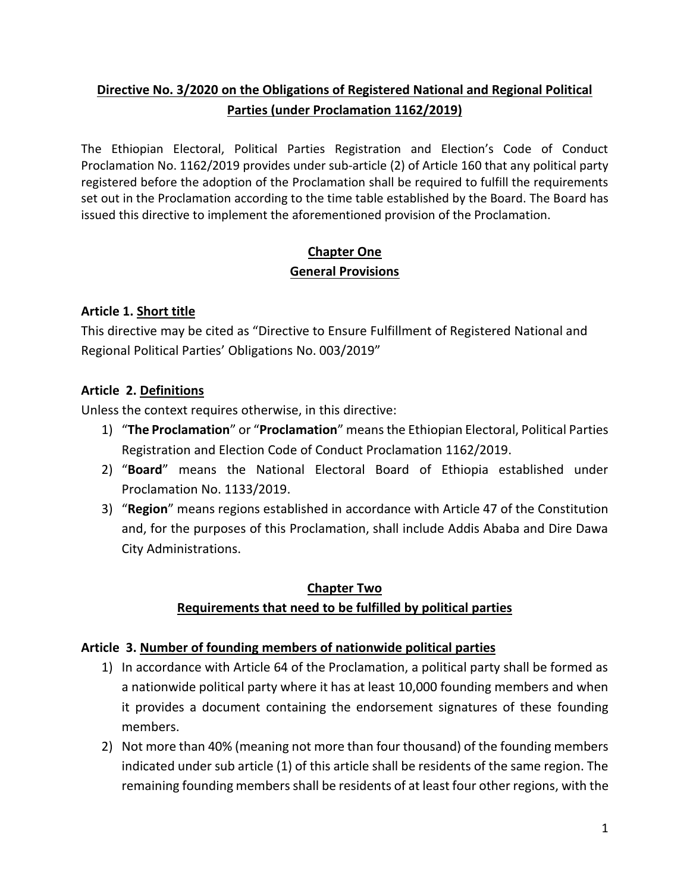# **Directive No. 3/2020 on the Obligations of Registered National and Regional Political Parties (under Proclamation 1162/2019)**

The Ethiopian Electoral, Political Parties Registration and Election's Code of Conduct Proclamation No. 1162/2019 provides under sub-article (2) of Article 160 that any political party registered before the adoption of the Proclamation shall be required to fulfill the requirements set out in the Proclamation according to the time table established by the Board. The Board has issued this directive to implement the aforementioned provision of the Proclamation.

## **Chapter One General Provisions**

## **Article 1. Short title**

This directive may be cited as "Directive to Ensure Fulfillment of Registered National and Regional Political Parties' Obligations No. 003/2019"

## **Article 2. Definitions**

Unless the context requires otherwise, in this directive:

- 1) "**The Proclamation**" or "**Proclamation**" means the Ethiopian Electoral, Political Parties Registration and Election Code of Conduct Proclamation 1162/2019.
- 2) "**Board**" means the National Electoral Board of Ethiopia established under Proclamation No. 1133/2019.
- 3) "**Region**" means regions established in accordance with Article 47 of the Constitution and, for the purposes of this Proclamation, shall include Addis Ababa and Dire Dawa City Administrations.

# **Chapter Two Requirements that need to be fulfilled by political parties**

## **Article 3. Number of founding members of nationwide political parties**

- 1) In accordance with Article 64 of the Proclamation, a political party shall be formed as a nationwide political party where it has at least 10,000 founding members and when it provides a document containing the endorsement signatures of these founding members.
- 2) Not more than 40% (meaning not more than four thousand) of the founding members indicated under sub article (1) of this article shall be residents of the same region. The remaining founding members shall be residents of at least four other regions, with the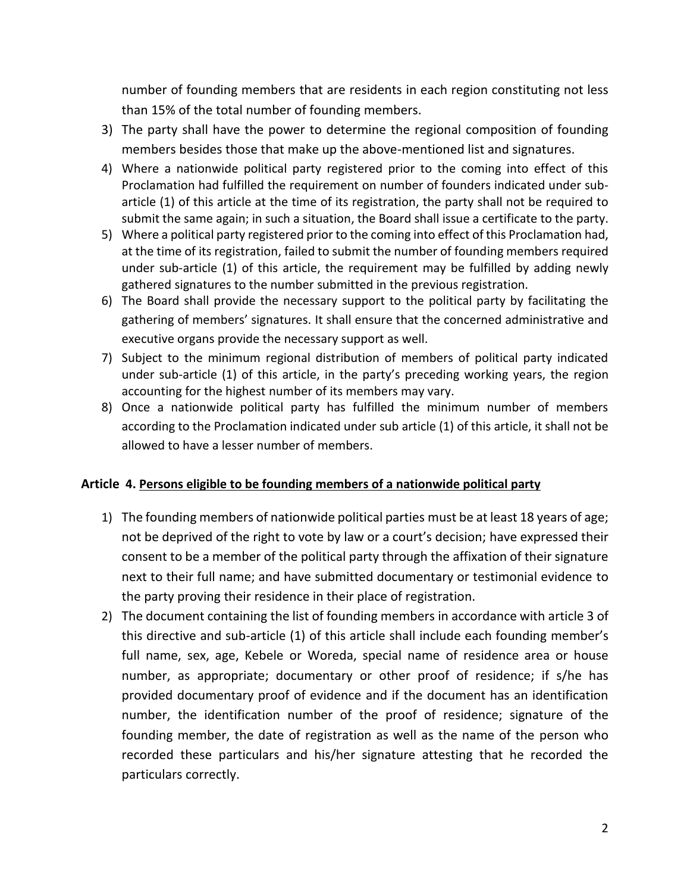number of founding members that are residents in each region constituting not less than 15% of the total number of founding members.

- 3) The party shall have the power to determine the regional composition of founding members besides those that make up the above-mentioned list and signatures.
- 4) Where a nationwide political party registered prior to the coming into effect of this Proclamation had fulfilled the requirement on number of founders indicated under subarticle (1) of this article at the time of its registration, the party shall not be required to submit the same again; in such a situation, the Board shall issue a certificate to the party.
- 5) Where a political party registered prior to the coming into effect of this Proclamation had, at the time of its registration, failed to submit the number of founding members required under sub-article (1) of this article, the requirement may be fulfilled by adding newly gathered signatures to the number submitted in the previous registration.
- 6) The Board shall provide the necessary support to the political party by facilitating the gathering of members' signatures. It shall ensure that the concerned administrative and executive organs provide the necessary support as well.
- 7) Subject to the minimum regional distribution of members of political party indicated under sub-article (1) of this article, in the party's preceding working years, the region accounting for the highest number of its members may vary.
- 8) Once a nationwide political party has fulfilled the minimum number of members according to the Proclamation indicated under sub article (1) of this article, it shall not be allowed to have a lesser number of members.

### **Article 4. Persons eligible to be founding members of a nationwide political party**

- 1) The founding members of nationwide political parties must be at least 18 years of age; not be deprived of the right to vote by law or a court's decision; have expressed their consent to be a member of the political party through the affixation of their signature next to their full name; and have submitted documentary or testimonial evidence to the party proving their residence in their place of registration.
- 2) The document containing the list of founding members in accordance with article 3 of this directive and sub-article (1) of this article shall include each founding member's full name, sex, age, Kebele or Woreda, special name of residence area or house number, as appropriate; documentary or other proof of residence; if s/he has provided documentary proof of evidence and if the document has an identification number, the identification number of the proof of residence; signature of the founding member, the date of registration as well as the name of the person who recorded these particulars and his/her signature attesting that he recorded the particulars correctly.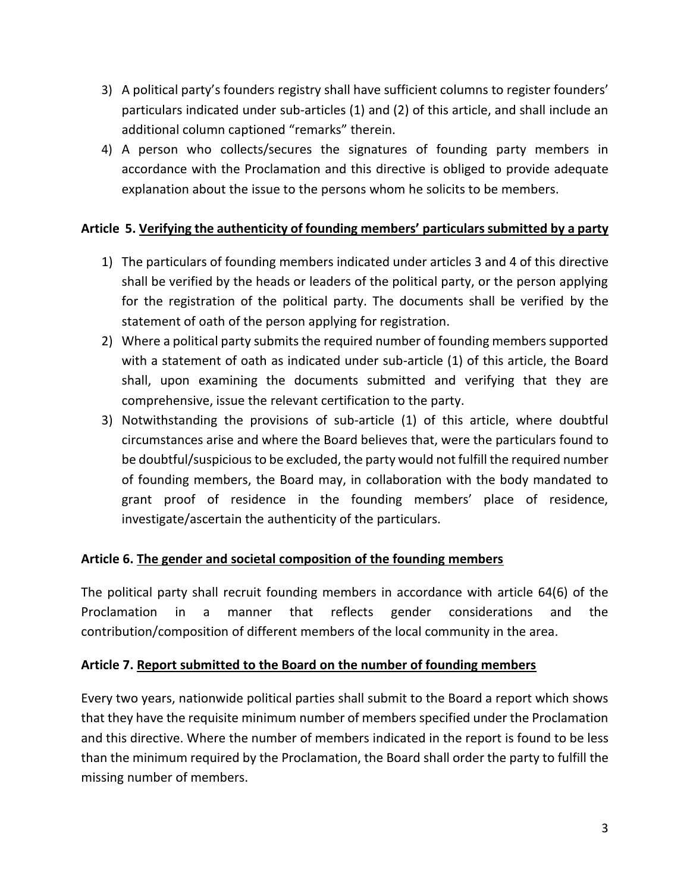- 3) A political party's founders registry shall have sufficient columns to register founders' particulars indicated under sub-articles (1) and (2) of this article, and shall include an additional column captioned "remarks" therein.
- 4) A person who collects/secures the signatures of founding party members in accordance with the Proclamation and this directive is obliged to provide adequate explanation about the issue to the persons whom he solicits to be members.

### **Article 5. Verifying the authenticity of founding members' particulars submitted by a party**

- 1) The particulars of founding members indicated under articles 3 and 4 of this directive shall be verified by the heads or leaders of the political party, or the person applying for the registration of the political party. The documents shall be verified by the statement of oath of the person applying for registration.
- 2) Where a political party submits the required number of founding members supported with a statement of oath as indicated under sub-article (1) of this article, the Board shall, upon examining the documents submitted and verifying that they are comprehensive, issue the relevant certification to the party.
- 3) Notwithstanding the provisions of sub-article (1) of this article, where doubtful circumstances arise and where the Board believes that, were the particulars found to be doubtful/suspicious to be excluded, the party would not fulfill the required number of founding members, the Board may, in collaboration with the body mandated to grant proof of residence in the founding members' place of residence, investigate/ascertain the authenticity of the particulars.

### **Article 6. The gender and societal composition of the founding members**

The political party shall recruit founding members in accordance with article 64(6) of the Proclamation in a manner that reflects gender considerations and the contribution/composition of different members of the local community in the area.

### **Article 7. Report submitted to the Board on the number of founding members**

Every two years, nationwide political parties shall submit to the Board a report which shows that they have the requisite minimum number of members specified under the Proclamation and this directive. Where the number of members indicated in the report is found to be less than the minimum required by the Proclamation, the Board shall order the party to fulfill the missing number of members.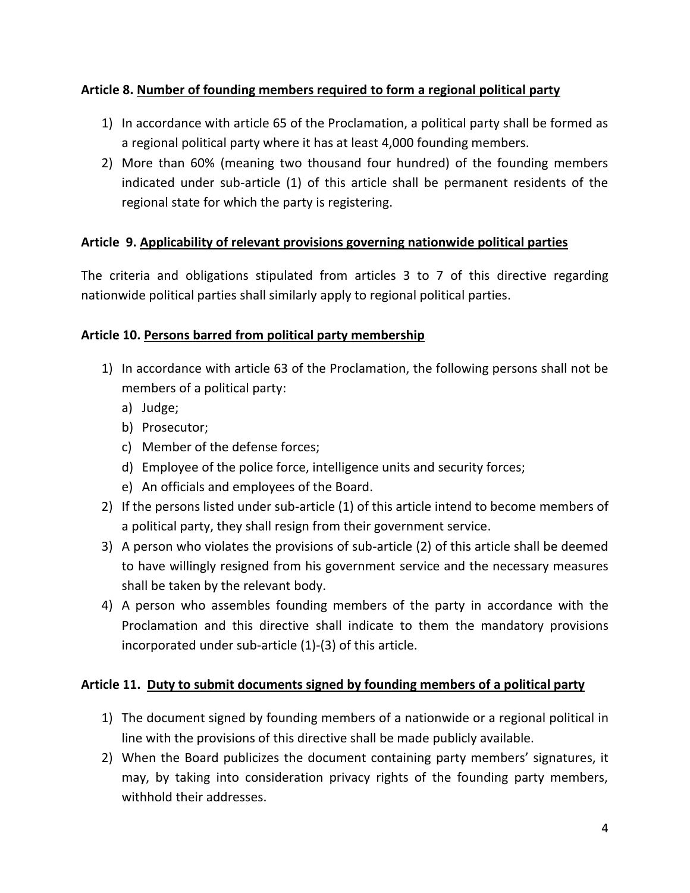## **Article 8. Number of founding members required to form a regional political party**

- 1) In accordance with article 65 of the Proclamation, a political party shall be formed as a regional political party where it has at least 4,000 founding members.
- 2) More than 60% (meaning two thousand four hundred) of the founding members indicated under sub-article (1) of this article shall be permanent residents of the regional state for which the party is registering.

## **Article 9. Applicability of relevant provisions governing nationwide political parties**

The criteria and obligations stipulated from articles 3 to 7 of this directive regarding nationwide political parties shall similarly apply to regional political parties.

## **Article 10. Persons barred from political party membership**

- 1) In accordance with article 63 of the Proclamation, the following persons shall not be members of a political party:
	- a) Judge;
	- b) Prosecutor;
	- c) Member of the defense forces;
	- d) Employee of the police force, intelligence units and security forces;
	- e) An officials and employees of the Board.
- 2) If the persons listed under sub-article (1) of this article intend to become members of a political party, they shall resign from their government service.
- 3) A person who violates the provisions of sub-article (2) of this article shall be deemed to have willingly resigned from his government service and the necessary measures shall be taken by the relevant body.
- 4) A person who assembles founding members of the party in accordance with the Proclamation and this directive shall indicate to them the mandatory provisions incorporated under sub-article (1)-(3) of this article.

## **Article 11. Duty to submit documents signed by founding members of a political party**

- 1) The document signed by founding members of a nationwide or a regional political in line with the provisions of this directive shall be made publicly available.
- 2) When the Board publicizes the document containing party members' signatures, it may, by taking into consideration privacy rights of the founding party members, withhold their addresses.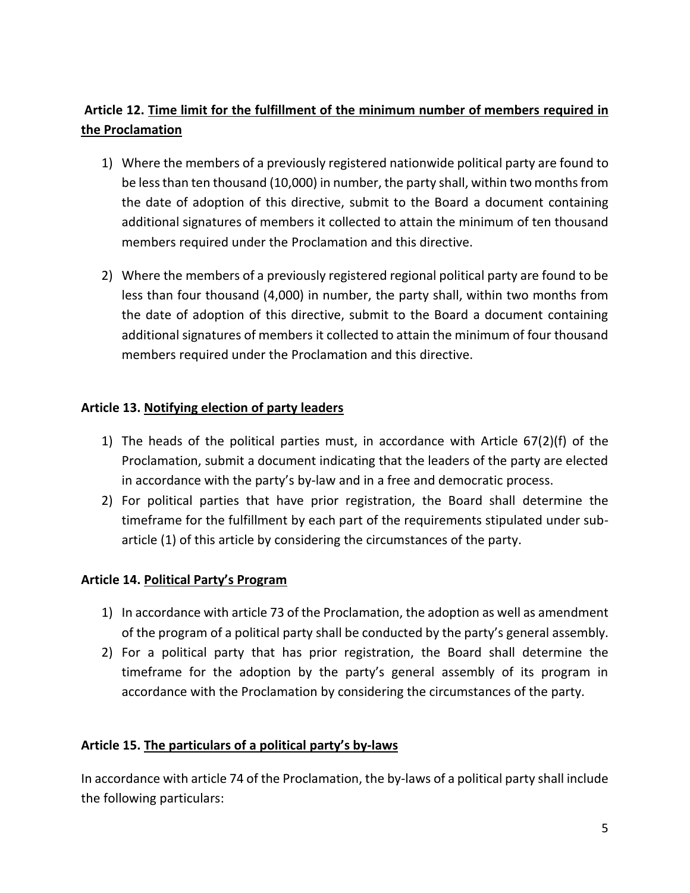# **Article 12. Time limit for the fulfillment of the minimum number of members required in the Proclamation**

- 1) Where the members of a previously registered nationwide political party are found to be less than ten thousand (10,000) in number, the party shall, within two months from the date of adoption of this directive, submit to the Board a document containing additional signatures of members it collected to attain the minimum of ten thousand members required under the Proclamation and this directive.
- 2) Where the members of a previously registered regional political party are found to be less than four thousand (4,000) in number, the party shall, within two months from the date of adoption of this directive, submit to the Board a document containing additional signatures of members it collected to attain the minimum of four thousand members required under the Proclamation and this directive.

## **Article 13. Notifying election of party leaders**

- 1) The heads of the political parties must, in accordance with Article  $67(2)(f)$  of the Proclamation, submit a document indicating that the leaders of the party are elected in accordance with the party's by-law and in a free and democratic process.
- 2) For political parties that have prior registration, the Board shall determine the timeframe for the fulfillment by each part of the requirements stipulated under subarticle (1) of this article by considering the circumstances of the party.

### **Article 14. Political Party's Program**

- 1) In accordance with article 73 of the Proclamation, the adoption as well as amendment of the program of a political party shall be conducted by the party's general assembly.
- 2) For a political party that has prior registration, the Board shall determine the timeframe for the adoption by the party's general assembly of its program in accordance with the Proclamation by considering the circumstances of the party.

### **Article 15. The particulars of a political party's by-laws**

In accordance with article 74 of the Proclamation, the by-laws of a political party shall include the following particulars: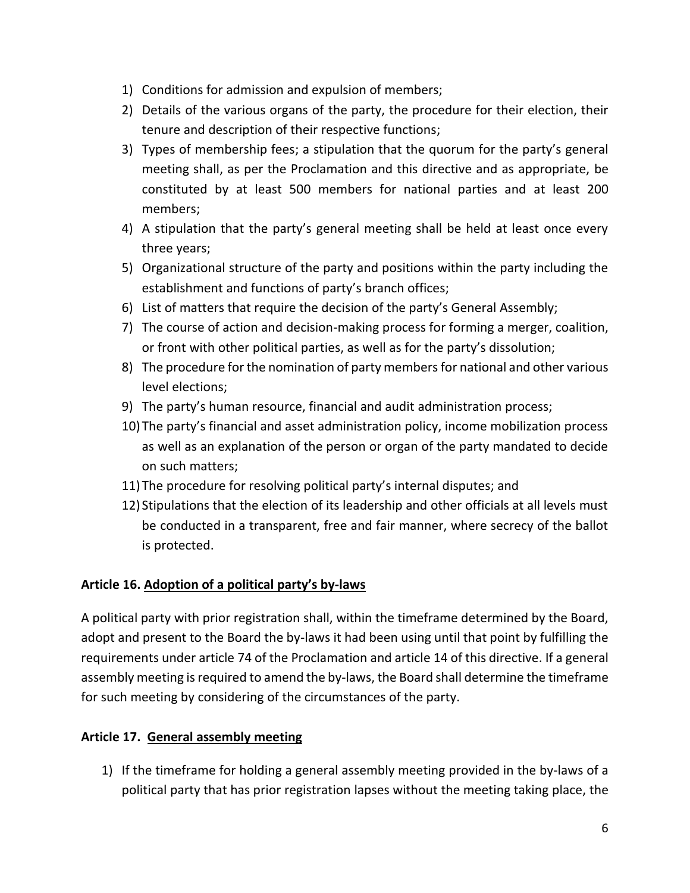- 1) Conditions for admission and expulsion of members;
- 2) Details of the various organs of the party, the procedure for their election, their tenure and description of their respective functions;
- 3) Types of membership fees; a stipulation that the quorum for the party's general meeting shall, as per the Proclamation and this directive and as appropriate, be constituted by at least 500 members for national parties and at least 200 members;
- 4) A stipulation that the party's general meeting shall be held at least once every three years;
- 5) Organizational structure of the party and positions within the party including the establishment and functions of party's branch offices;
- 6) List of matters that require the decision of the party's General Assembly;
- 7) The course of action and decision-making process for forming a merger, coalition, or front with other political parties, as well as for the party's dissolution;
- 8) The procedure for the nomination of party members for national and other various level elections;
- 9) The party's human resource, financial and audit administration process;
- 10)The party's financial and asset administration policy, income mobilization process as well as an explanation of the person or organ of the party mandated to decide on such matters;
- 11)The procedure for resolving political party's internal disputes; and
- 12) Stipulations that the election of its leadership and other officials at all levels must be conducted in a transparent, free and fair manner, where secrecy of the ballot is protected.

## **Article 16. Adoption of a political party's by-laws**

A political party with prior registration shall, within the timeframe determined by the Board, adopt and present to the Board the by-laws it had been using until that point by fulfilling the requirements under article 74 of the Proclamation and article 14 of this directive. If a general assembly meeting is required to amend the by-laws, the Board shall determine the timeframe for such meeting by considering of the circumstances of the party.

## **Article 17. General assembly meeting**

1) If the timeframe for holding a general assembly meeting provided in the by-laws of a political party that has prior registration lapses without the meeting taking place, the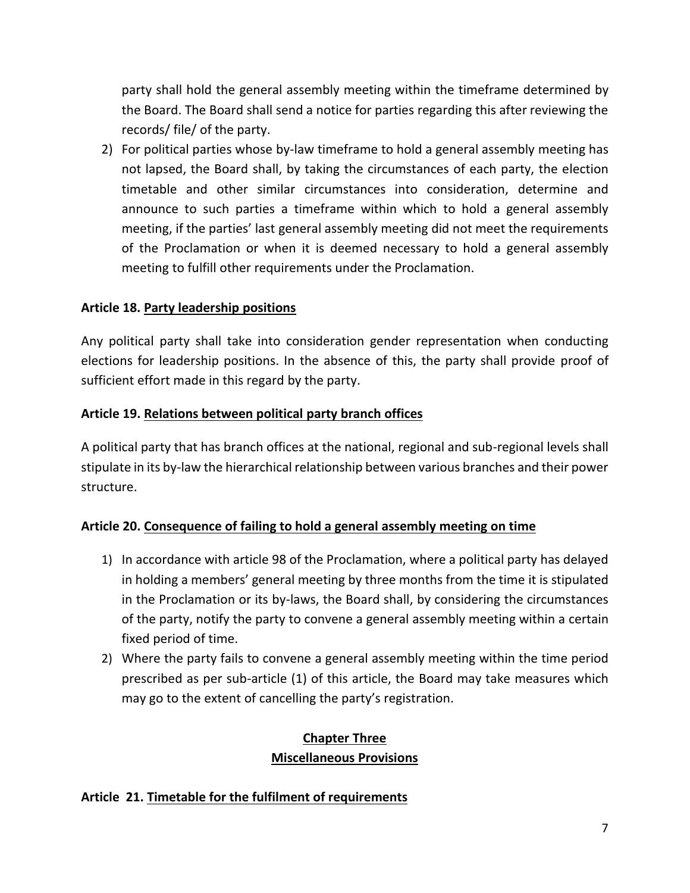party shall hold the general assembly meeting within the timeframe determined by the Board. The Board shall send a notice for parties regarding this after reviewing the records/ file/ of the party.

2) For political parties whose by-law timeframe to hold a general assembly meeting has not lapsed, the Board shall, by taking the circumstances of each party, the election timetable and other similar circumstances into consideration, determine and announce to such parties a timeframe within which to hold a general assembly meeting, if the parties' last general assembly meeting did not meet the requirements of the Proclamation or when it is deemed necessary to hold a general assembly meeting to fulfill other requirements under the Proclamation.

## **Article 18. Party leadership positions**

Any political party shall take into consideration gender representation when conducting elections for leadership positions. In the absence of this, the party shall provide proof of sufficient effort made in this regard by the party.

### **Article 19. Relations between political party branch offices**

A political party that has branch offices at the national, regional and sub-regional levels shall stipulate in its by-law the hierarchical relationship between various branches and their power structure.

## **Article 20. Consequence of failing to hold a general assembly meeting on time**

- 1) In accordance with article 98 of the Proclamation, where a political party has delayed in holding a members' general meeting by three months from the time it is stipulated in the Proclamation or its by-laws, the Board shall, by considering the circumstances of the party, notify the party to convene a general assembly meeting within a certain fixed period of time.
- 2) Where the party fails to convene a general assembly meeting within the time period prescribed as per sub-article (1) of this article, the Board may take measures which may go to the extent of cancelling the party's registration.

## **Chapter Three Miscellaneous Provisions**

### **Article 21. Timetable for the fulfilment of requirements**